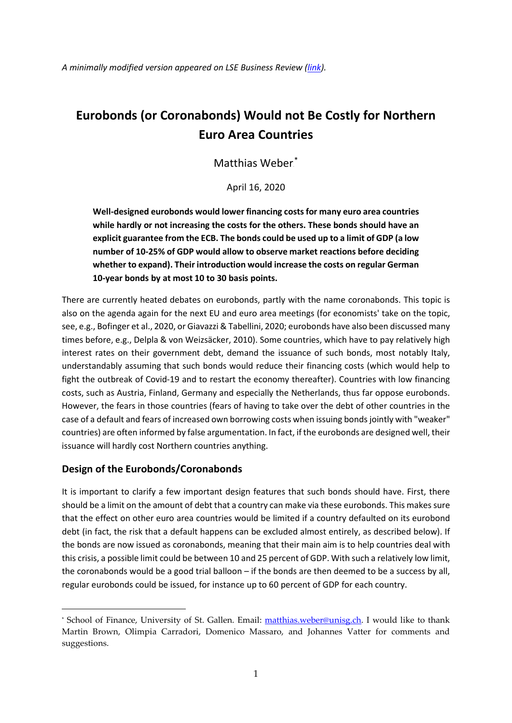*A minimally modified version appeared on LSE Business Review [\(link\)](https://blogs.lse.ac.uk/businessreview/2020/04/16/eurobonds-or-coronabonds-would-not-be-costly-for-northern-euro-area-countries/).*

# **Eurobonds (or Coronabonds) Would not Be Costly for Northern Euro Area Countries**

Matthias Weber.<sup>\*</sup>

April 16, 2020

**Well-designed eurobonds would lower financing costs for many euro area countries while hardly or not increasing the costs for the others. These bonds should have an explicit guarantee from the ECB. The bonds could be used up to a limit of GDP (a low number of 10-25% of GDP would allow to observe market reactions before deciding whether to expand). Their introduction would increase the costs on regular German 10-year bonds by at most 10 to 30 basis points.**

There are currently heated debates on eurobonds, partly with the name coronabonds. This topic is also on the agenda again for the next EU and euro area meetings (for economists' take on the topic, see, e.g., Bofinger et al., 2020, or Giavazzi & Tabellini, 2020; eurobonds have also been discussed many times before, e.g., Delpla & von Weizsäcker, 2010). Some countries, which have to pay relatively high interest rates on their government debt, demand the issuance of such bonds, most notably Italy, understandably assuming that such bonds would reduce their financing costs (which would help to fight the outbreak of Covid-19 and to restart the economy thereafter). Countries with low financing costs, such as Austria, Finland, Germany and especially the Netherlands, thus far oppose eurobonds. However, the fears in those countries (fears of having to take over the debt of other countries in the case of a default and fears of increased own borrowing costs when issuing bonds jointly with "weaker" countries) are often informed by false argumentation. In fact, if the eurobonds are designed well, their issuance will hardly cost Northern countries anything.

## **Design of the Eurobonds/Coronabonds**

-

It is important to clarify a few important design features that such bonds should have. First, there should be a limit on the amount of debt that a country can make via these eurobonds. This makes sure that the effect on other euro area countries would be limited if a country defaulted on its eurobond debt (in fact, the risk that a default happens can be excluded almost entirely, as described below). If the bonds are now issued as coronabonds, meaning that their main aim is to help countries deal with this crisis, a possible limit could be between 10 and 25 percent of GDP. With such a relatively low limit, the coronabonds would be a good trial balloon – if the bonds are then deemed to be a success by all, regular eurobonds could be issued, for instance up to 60 percent of GDP for each country.

<sup>\*</sup> School of Finance, University of St. Gallen. Email: [matthias.weber@unisg.ch.](mailto:matthias.weber@unisg.ch) I would like to thank Martin Brown, Olimpia Carradori, Domenico Massaro, and Johannes Vatter for comments and suggestions.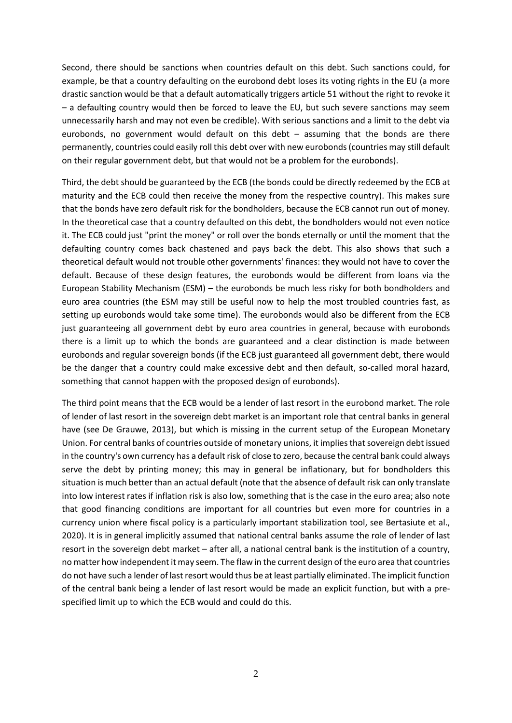Second, there should be sanctions when countries default on this debt. Such sanctions could, for example, be that a country defaulting on the eurobond debt loses its voting rights in the EU (a more drastic sanction would be that a default automatically triggers article 51 without the right to revoke it – a defaulting country would then be forced to leave the EU, but such severe sanctions may seem unnecessarily harsh and may not even be credible). With serious sanctions and a limit to the debt via eurobonds, no government would default on this debt – assuming that the bonds are there permanently, countries could easily roll this debt over with new eurobonds(countries may still default on their regular government debt, but that would not be a problem for the eurobonds).

Third, the debt should be guaranteed by the ECB (the bonds could be directly redeemed by the ECB at maturity and the ECB could then receive the money from the respective country). This makes sure that the bonds have zero default risk for the bondholders, because the ECB cannot run out of money. In the theoretical case that a country defaulted on this debt, the bondholders would not even notice it. The ECB could just "print the money" or roll over the bonds eternally or until the moment that the defaulting country comes back chastened and pays back the debt. This also shows that such a theoretical default would not trouble other governments' finances: they would not have to cover the default. Because of these design features, the eurobonds would be different from loans via the European Stability Mechanism (ESM) – the eurobonds be much less risky for both bondholders and euro area countries (the ESM may still be useful now to help the most troubled countries fast, as setting up eurobonds would take some time). The eurobonds would also be different from the ECB just guaranteeing all government debt by euro area countries in general, because with eurobonds there is a limit up to which the bonds are guaranteed and a clear distinction is made between eurobonds and regular sovereign bonds (if the ECB just guaranteed all government debt, there would be the danger that a country could make excessive debt and then default, so-called moral hazard, something that cannot happen with the proposed design of eurobonds).

The third point means that the ECB would be a lender of last resort in the eurobond market. The role of lender of last resort in the sovereign debt market is an important role that central banks in general have (see De Grauwe, 2013), but which is missing in the current setup of the European Monetary Union. For central banks of countries outside of monetary unions, it implies that sovereign debt issued in the country's own currency has a default risk of close to zero, because the central bank could always serve the debt by printing money; this may in general be inflationary, but for bondholders this situation is much better than an actual default (note that the absence of default risk can only translate into low interest rates if inflation risk is also low, something that is the case in the euro area; also note that good financing conditions are important for all countries but even more for countries in a currency union where fiscal policy is a particularly important stabilization tool, see Bertasiute et al., 2020). It is in general implicitly assumed that national central banks assume the role of lender of last resort in the sovereign debt market – after all, a national central bank is the institution of a country, no matter how independent it may seem. The flaw in the current design of the euro area that countries do not have such a lender of last resort would thus be at least partially eliminated. The implicit function of the central bank being a lender of last resort would be made an explicit function, but with a prespecified limit up to which the ECB would and could do this.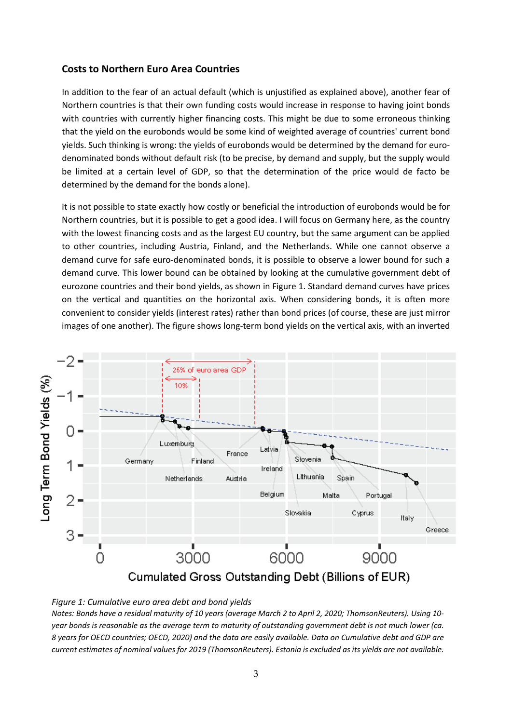#### **Costs to Northern Euro Area Countries**

In addition to the fear of an actual default (which is unjustified as explained above), another fear of Northern countries is that their own funding costs would increase in response to having joint bonds with countries with currently higher financing costs. This might be due to some erroneous thinking that the yield on the eurobonds would be some kind of weighted average of countries' current bond yields. Such thinking is wrong: the yields of eurobonds would be determined by the demand for eurodenominated bonds without default risk (to be precise, by demand and supply, but the supply would be limited at a certain level of GDP, so that the determination of the price would de facto be determined by the demand for the bonds alone).

It is not possible to state exactly how costly or beneficial the introduction of eurobonds would be for Northern countries, but it is possible to get a good idea. I will focus on Germany here, as the country with the lowest financing costs and as the largest EU country, but the same argument can be applied to other countries, including Austria, Finland, and the Netherlands. While one cannot observe a demand curve for safe euro-denominated bonds, it is possible to observe a lower bound for such a demand curve. This lower bound can be obtained by looking at the cumulative government debt of eurozone countries and their bond yields, as shown in Figure 1. Standard demand curves have prices on the vertical and quantities on the horizontal axis. When considering bonds, it is often more convenient to consider yields (interest rates) rather than bond prices (of course, these are just mirror images of one another). The figure shows long-term bond yields on the vertical axis, with an inverted





*Notes: Bonds have a residual maturity of 10 years (average March 2 to April 2, 2020; ThomsonReuters). Using 10 year bonds is reasonable as the average term to maturity of outstanding government debt is not much lower (ca. 8 years for OECD countries; OECD, 2020) and the data are easily available. Data on Cumulative debt and GDP are current estimates of nominal values for 2019 (ThomsonReuters). Estonia is excluded as its yields are not available.*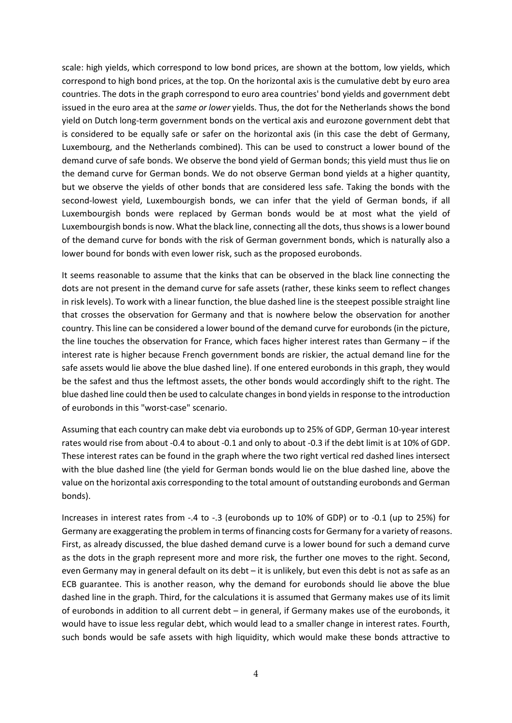scale: high yields, which correspond to low bond prices, are shown at the bottom, low yields, which correspond to high bond prices, at the top. On the horizontal axis is the cumulative debt by euro area countries. The dots in the graph correspond to euro area countries' bond yields and government debt issued in the euro area at the *same or lower* yields. Thus, the dot for the Netherlands shows the bond yield on Dutch long-term government bonds on the vertical axis and eurozone government debt that is considered to be equally safe or safer on the horizontal axis (in this case the debt of Germany, Luxembourg, and the Netherlands combined). This can be used to construct a lower bound of the demand curve of safe bonds. We observe the bond yield of German bonds; this yield must thus lie on the demand curve for German bonds. We do not observe German bond yields at a higher quantity, but we observe the yields of other bonds that are considered less safe. Taking the bonds with the second-lowest yield, Luxembourgish bonds, we can infer that the yield of German bonds, if all Luxembourgish bonds were replaced by German bonds would be at most what the yield of Luxembourgish bonds is now. What the black line, connecting all the dots, thus showsis a lower bound of the demand curve for bonds with the risk of German government bonds, which is naturally also a lower bound for bonds with even lower risk, such as the proposed eurobonds.

It seems reasonable to assume that the kinks that can be observed in the black line connecting the dots are not present in the demand curve for safe assets (rather, these kinks seem to reflect changes in risk levels). To work with a linear function, the blue dashed line is the steepest possible straight line that crosses the observation for Germany and that is nowhere below the observation for another country. This line can be considered a lower bound of the demand curve for eurobonds (in the picture, the line touches the observation for France, which faces higher interest rates than Germany – if the interest rate is higher because French government bonds are riskier, the actual demand line for the safe assets would lie above the blue dashed line). If one entered eurobonds in this graph, they would be the safest and thus the leftmost assets, the other bonds would accordingly shift to the right. The blue dashed line could then be used to calculate changesin bond yieldsin response to the introduction of eurobonds in this "worst-case" scenario.

Assuming that each country can make debt via eurobonds up to 25% of GDP, German 10-year interest rates would rise from about -0.4 to about -0.1 and only to about -0.3 if the debt limit is at 10% of GDP. These interest rates can be found in the graph where the two right vertical red dashed lines intersect with the blue dashed line (the yield for German bonds would lie on the blue dashed line, above the value on the horizontal axis corresponding to the total amount of outstanding eurobonds and German bonds).

Increases in interest rates from -.4 to -.3 (eurobonds up to 10% of GDP) or to -0.1 (up to 25%) for Germany are exaggerating the problem in terms of financing costs for Germany for a variety of reasons. First, as already discussed, the blue dashed demand curve is a lower bound for such a demand curve as the dots in the graph represent more and more risk, the further one moves to the right. Second, even Germany may in general default on its debt – it is unlikely, but even this debt is not as safe as an ECB guarantee. This is another reason, why the demand for eurobonds should lie above the blue dashed line in the graph. Third, for the calculations it is assumed that Germany makes use of its limit of eurobonds in addition to all current debt – in general, if Germany makes use of the eurobonds, it would have to issue less regular debt, which would lead to a smaller change in interest rates. Fourth, such bonds would be safe assets with high liquidity, which would make these bonds attractive to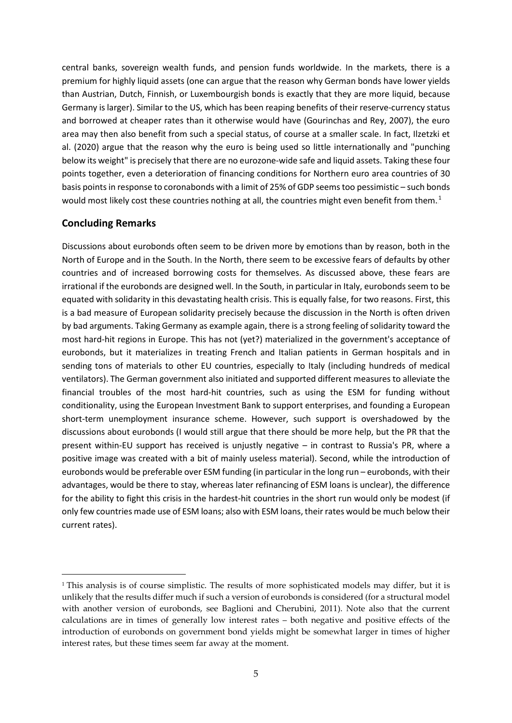central banks, sovereign wealth funds, and pension funds worldwide. In the markets, there is a premium for highly liquid assets (one can argue that the reason why German bonds have lower yields than Austrian, Dutch, Finnish, or Luxembourgish bonds is exactly that they are more liquid, because Germany is larger). Similar to the US, which has been reaping benefits of their reserve-currency status and borrowed at cheaper rates than it otherwise would have (Gourinchas and Rey, 2007), the euro area may then also benefit from such a special status, of course at a smaller scale. In fact, Ilzetzki et al. (2020) argue that the reason why the euro is being used so little internationally and "punching below its weight" is precisely that there are no eurozone-wide safe and liquid assets. Taking these four points together, even a deterioration of financing conditions for Northern euro area countries of 30 basis points in response to coronabonds with a limit of 25% of GDP seems too pessimistic – such bonds would most likely cost these countries nothing at all, the countries might even benefit from them.<sup>1</sup>

#### **Concluding Remarks**

-

Discussions about eurobonds often seem to be driven more by emotions than by reason, both in the North of Europe and in the South. In the North, there seem to be excessive fears of defaults by other countries and of increased borrowing costs for themselves. As discussed above, these fears are irrational if the eurobonds are designed well. In the South, in particular in Italy, eurobonds seem to be equated with solidarity in this devastating health crisis. This is equally false, for two reasons. First, this is a bad measure of European solidarity precisely because the discussion in the North is often driven by bad arguments. Taking Germany as example again, there is a strong feeling of solidarity toward the most hard-hit regions in Europe. This has not (yet?) materialized in the government's acceptance of eurobonds, but it materializes in treating French and Italian patients in German hospitals and in sending tons of materials to other EU countries, especially to Italy (including hundreds of medical ventilators). The German government also initiated and supported different measures to alleviate the financial troubles of the most hard-hit countries, such as using the ESM for funding without conditionality, using the European Investment Bank to support enterprises, and founding a European short-term unemployment insurance scheme. However, such support is overshadowed by the discussions about eurobonds (I would still argue that there should be more help, but the PR that the present within-EU support has received is unjustly negative – in contrast to Russia's PR, where a positive image was created with a bit of mainly useless material). Second, while the introduction of eurobonds would be preferable over ESM funding (in particular in the long run – eurobonds, with their advantages, would be there to stay, whereas later refinancing of ESM loans is unclear), the difference for the ability to fight this crisis in the hardest-hit countries in the short run would only be modest (if only few countries made use of ESM loans; also with ESM loans, their rates would be much below their current rates).

<sup>&</sup>lt;sup>1</sup> This analysis is of course simplistic. The results of more sophisticated models may differ, but it is unlikely that the results differ much if such a version of eurobonds is considered (for a structural model with another version of eurobonds, see Baglioni and Cherubini, 2011). Note also that the current calculations are in times of generally low interest rates – both negative and positive effects of the introduction of eurobonds on government bond yields might be somewhat larger in times of higher interest rates, but these times seem far away at the moment.